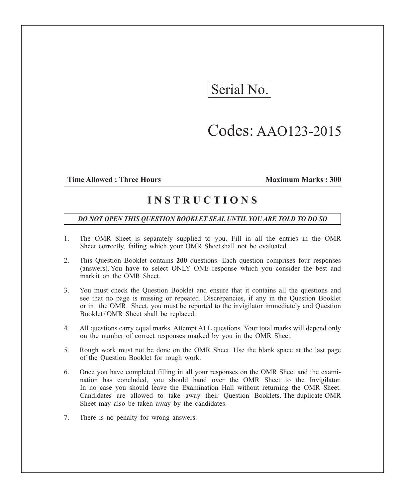# Serial No.

## Codes: AAO123-2015

### **Time Allowed : Three Hours Maximum Marks : 300**

## **I N S T R U C T I O N S**

### *DO NOT OPEN THIS QUESTION BOOKLET SEAL UNTIL YOU ARE TOLD TO DO SO*

- 1. The OMR Sheet is separately supplied to you. Fill in all the entries in the OMR Sheet correctly, failing which your OMR Sheet shall not be evaluated.
- 2. This Question Booklet contains **200** questions. Each question comprises four responses (answers). You have to select ONLY ONE response which you consider the best and mark it on the OMR Sheet.
- 3. You must check the Question Booklet and ensure that it contains all the questions and see that no page is missing or repeated. Discrepancies, if any in the Question Booklet or in the OMR Sheet, you must be reported to the invigilator immediately and Question Booklet/OMR Sheet shall be replaced.
- 4. All questions carry equal marks. Attempt ALL questions. Your total marks will depend only on the number of correct responses marked by you in the OMR Sheet.
- 5. Rough work must not be done on the OMR Sheet. Use the blank space at the last page of the Question Booklet for rough work.
- 6. Once you have completed filling in all your responses on the OMR Sheet and the examination has concluded, you should hand over the OMR Sheet to the Invigilator. In no case you should leave the Examination Hall without returning the OMR Sheet. Candidates are allowed to take away their Question Booklets. The duplicate OMR Sheet may also be taken away by the candidates.
- 7. There is no penalty for wrong answers.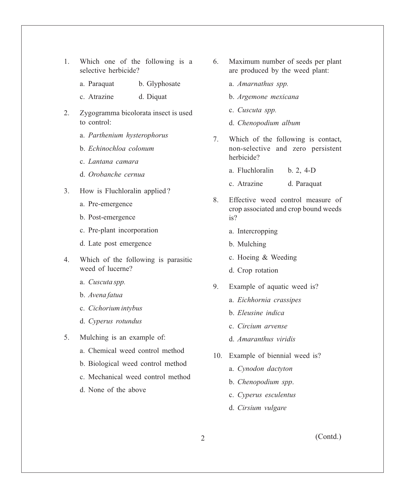- 1. Which one of the following is a selective herbicide?
	- a. Paraquat b. Glyphosate
	- c. Atrazine d. Diquat
- 2. Zygogramma bicolorata insect is used to control:
	- a. *Parthenium hysterophorus*
	- b. *Echinochloa colonum*
	- c. *Lantana camara*
	- d. *Orobanche cernua*
- 3. How is Fluchloralin applied ?
	- a. Pre-emergence
	- b. Post-emergence
	- c. Pre-plant incorporation
	- d. Late post emergence
- 4. Which of the following is parasitic weed of lucerne?
	- a. *Cuscuta spp.*
	- b. *Avena fatua*
	- c. *Cichorium intybus*
	- d. *Cyperus rotundus*
- 5. Mulching is an example of:
	- a. Chemical weed control method
	- b. Biological weed control method
	- c. Mechanical weed control method
	- d. None of the above
- 6. Maximum number of seeds per plant are produced by the weed plant:
	- a. *Amarnathus spp.*
	- b. *Argemone mexicana*
	- c. *Cuscuta spp.*
	- d. *Chenopodium album*
- 7. Which of the following is contact, non-selective and zero persistent herbicide?
	- a. Fluchloralin b. 2, 4-D
	- c. Atrazine d. Paraquat
- 8. Effective weed control measure of crop associated and crop bound weeds is?
	- a. Intercropping
	- b. Mulching
	- c. Hoeing & Weeding
	- d. Crop rotation
- 9. Example of aquatic weed is?
	- a. *Eichhornia crassipes*
	- b. *Eleusine indica*
	- c. *Circium arvense*
	- d. *Amaranthus viridis*
- 10. Example of biennial weed is?
	- a. *Cynodon dactyton*
	- b. *Chenopodium spp*.
	- c. *Cyperus esculentus*
	- d. *Cirsium vulgare*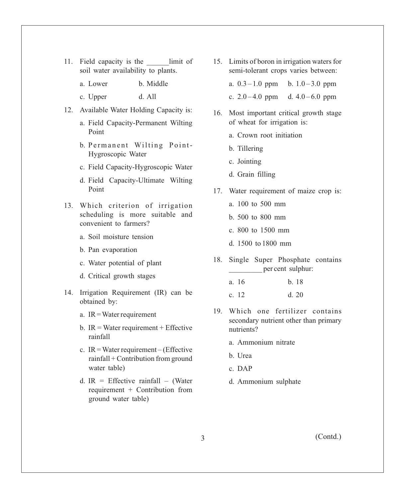- 11. Field capacity is the limit of soil water availability to plants.
	- a. Lower b. Middle
	- c. Upper d. All
- 12. Available Water Holding Capacity is:
	- a. Field Capacity-Permanent Wilting Point
	- b. Permanent Wilting Point-Hygroscopic Water
	- c. Field Capacity-Hygroscopic Water
	- d. Field Capacity-Ultimate Wilting Point
- 13. Which criterion of irrigation scheduling is more suitable and convenient to farmers?
	- a. Soil moisture tension
	- b. Pan evaporation
	- c. Water potential of plant
	- d. Critical growth stages
- 14. Irrigation Requirement (IR) can be obtained by:
	- a. IR = Water requirement
	- b.  $IR = Water requirement + Effective$ rainfall
	- c. IR = Water requirement (Effective rainfall + Contribution from ground water table)
	- d. IR = Effective rainfall (Water requirement + Contribution from ground water table)
- 15. Limits of boron in irrigation waters for semi-tolerant crops varies between:
	- a.  $0.3 1.0$  ppm b.  $1.0 3.0$  ppm
	- c.  $2.0 4.0$  ppm d.  $4.0 6.0$  ppm
- 16. Most important critical growth stage of wheat for irrigation is:
	- a. Crown root initiation
	- b. Tillering
	- c. Jointing
	- d. Grain filling
- 17. Water requirement of maize crop is:
	- a. 100 to 500 mm
	- b. 500 to 800 mm
	- c. 800 to 1500 mm
	- d. 1500 to 1800 mm
- 18. Single Super Phosphate contains per cent sulphur:
	- a. 16 b. 18 c. 12 d. 20
- 19. Which one fertilizer contains secondary nutrient other than primary nutrients?
	- a. Ammonium nitrate
	- b. Urea
	- c. DAP
	- d. Ammonium sulphate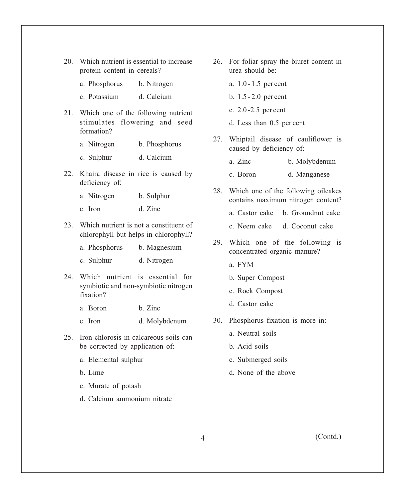- 20. Which nutrient is essential to increase protein content in cereals?
	- a. Phosphorus b. Nitrogen
	- c. Potassium d. Calcium
- 21. Which one of the following nutrient stimulates flowering and seed formation?
	- a. Nitrogen b. Phosphorus
	- c. Sulphur d. Calcium
- 22. Khaira disease in rice is caused by deficiency of:
	- a. Nitrogen b. Sulphur
	- c. Iron d. Zinc
- 23. Which nutrient is not a constituent of chlorophyll but helps in chlorophyll?
	- a. Phosphorus b. Magnesium
	- c. Sulphur d. Nitrogen
- 24. Which nutrient is essential for symbiotic and non-symbiotic nitrogen fixation?
	- a. Boron b. Zinc
	- c. Iron d. Molybdenum
- 25. Iron chlorosis in calcareous soils can be corrected by application of:
	- a. Elemental sulphur
	- b. Lime
	- c. Murate of potash
	- d. Calcium ammonium nitrate
- 26. For foliar spray the biuret content in urea should be:
	- a. 1.0 1.5 per cent
	- b. 1.5 2.0 per cent
	- c. 2.0 -2.5 per cent
	- d. Less than 0.5 per cent
- 27. Whiptail disease of cauliflower is caused by deficiency of:
	- a. Zinc b. Molybdenum
	- c. Boron d. Manganese
- 28. Which one of the following oilcakes contains maximum nitrogen content?
	- a. Castor cake b. Groundnut cake
	- c. Neem cake d. Coconut cake
- 29. Which one of the following is concentrated organic manure?
	- a. FYM
	- b. Super Compost
	- c. Rock Compost
	- d. Castor cake
- 30. Phosphorus fixation is more in:
	- a. Neutral soils
	- b. Acid soils
	- c. Submerged soils
	- d. None of the above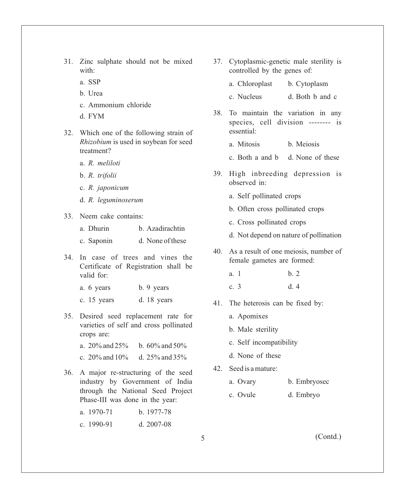- 31. Zinc sulphate should not be mixed with:
	- a. SSP
	- b. Urea
	- c. Ammonium chloride
	- d. FYM
- 32. Which one of the following strain of *Rhizobium* is used in soybean for seed treatment?
	- a. *R. meliloti*
	- b. *R. trifolii*
	- c. *R. japonicum*
	- d. *R. leguminoserum*
- 33. Neem cake contains:
	- a. Dhurin b. Azadirachtin
	- c. Saponin d. None of these
- 34. In case of trees and vines the Certificate of Registration shall be valid for:
	- a. 6 years b. 9 years
	- c. 15 years d. 18 years
- 35. Desired seed replacement rate for varieties of self and cross pollinated crops are:
	- a.  $20\%$  and  $25\%$  b.  $60\%$  and  $50\%$
	- c.  $20\%$  and  $10\%$  d.  $25\%$  and  $35\%$
- 36. A major re-structuring of the seed industry by Government of India through the National Seed Project Phase-III was done in the year:

| a. 1970-71 | b. 1977-78   |
|------------|--------------|
| c. 1990-91 | d. $2007-08$ |

- 37. Cytoplasmic-genetic male sterility is controlled by the genes of:
	- a. Chloroplast b. Cytoplasm
	- c. Nucleus d. Both b and c
- 38. To maintain the variation in any species, cell division -------- is essential:
	- a. Mitosis b. Meiosis
	- c. Both a and b d. None of these
- 39. High inbreeding depression is observed in:
	- a. Self pollinated crops
	- b. Often cross pollinated crops
	- c. Cross pollinated crops
	- d. Not depend on nature of pollination
- 40. As a result of one meiosis, number of female gametes are formed:
	- a. 1 b. 2
	- c. 3 d. 4
- 41. The heterosis can be fixed by:
	- a. Apomixes
	- b. Male sterility
	- c. Self incompatibility
	- d. None of these
- 42. Seed is a mature:
	- a. Ovary b. Embryosec
	- c. Ovule d. Embryo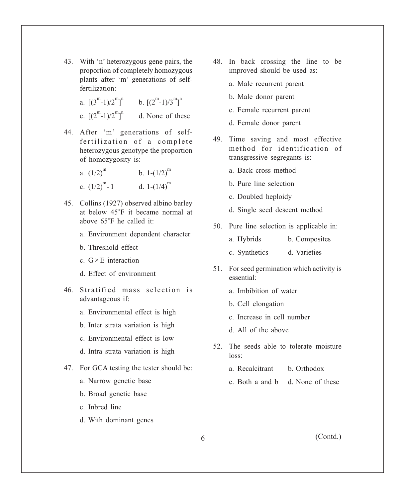- 43. With 'n' heterozygous gene pairs, the proportion of completely homozygous plants after 'm' generations of selffertilization:
	- a.  $[(3^m-1)/2^m]^n$  b.  $[(2^m-1)/3^m]^n$ c.  $[(2^m-1)/2^m]^n$  d. None of these
- 44. After 'm' generations of selffertilization of a complete heterozygous genotype the proportion of homozygosity is:

a. 
$$
(1/2)^m
$$
 b.  $1-(1/2)^m$   
c.  $(1/2)^m - 1$  d.  $1-(1/4)^m$ 

- 45. Collins (1927) observed albino barley at below 45°F it became normal at above 65°F he called it:
	- a. Environment dependent character
	- b. Threshold effect
	- c.  $G \times E$  interaction
	- d. Effect of environment
- 46. Stratified mass selection is advantageous if:
	- a. Environmental effect is high
	- b. Inter strata variation is high
	- c. Environmental effect is low
	- d. Intra strata variation is high
- 47. For GCA testing the tester should be:
	- a. Narrow genetic base
	- b. Broad genetic base
	- c. Inbred line
	- d. With dominant genes
- 48. In back crossing the line to be improved should be used as:
	- a. Male recurrent parent
	- b. Male donor parent
	- c. Female recurrent parent
	- d. Female donor parent
- 49. Time saving and most effective method for identification of transgressive segregants is:
	- a. Back cross method
	- b. Pure line selection
	- c. Doubled heploidy
	- d. Single seed descent method
- 50. Pure line selection is applicable in:
	- a. Hybrids b. Composites
	- c. Synthetics d. Varieties
- 51. For seed germination which activity is essential:
	- a. Imbibition of water
	- b. Cell elongation
	- c. Increase in cell number
	- d. All of the above
- 52. The seeds able to tolerate moisture loss:
	- a. Recalcitrant b. Orthodox
	- c. Both a and b d. None of these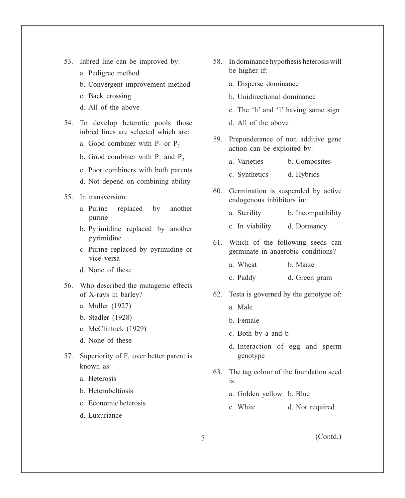- 53. Inbred line can be improved by:
	- a. Pedigree method
	- b. Convergent improvement method
	- c. Back crossing
	- d. All of the above
- 54. To develop heterotic pools those inbred lines are selected which are:
	- a. Good combiner with  $P_1$  or  $P_2$
	- b. Good combiner with  $P_1$  and  $P_2$
	- c. Poor combiners with both parents
	- d. Not depend on combining ability

### 55. In transversion:

- a. Purine replaced by another purine
- b. Pyrimidine replaced by another pyrimidine
- c. Purine replaced by pyrimidine or vice versa
- d. None of these
- 56. Who described the mutagenic effects of X-rays in barley?
	- a. Muller (1927)
	- b. Stadler (1928)
	- c. McClintock (1929)
	- d. None of these
- 57. Superiority of  $F_1$  over better parent is known as:
	- a. Heterosis
	- b. Heterobeltiosis
	- c. Economic heterosis
	- d. Luxuriance
- 58. In dominance hypothesis heterosis will be higher if:
	- a. Disperse dominance
	- b. Unidirectional dominance
	- c. The 'h' and 'l' having same sign
	- d. All of the above
- 59. Preponderance of non additive gene action can be exploited by:
	- a. Varieties b. Composites
	- c. Synthetics d. Hybrids
- 60. Germination is suspended by active endogenous inhibitors in:
	- a. Sterility b. Incompatibility
	- c. In viability d. Dormancy
- 61. Which of the following seeds can germinate in anaerobic conditions?
	- a. Wheat b. Maize
	- c. Paddy d. Green gram
- 62. Testa is governed by the genotype of:
	- a. Male
	- b. Female
	- c. Both by a and b
	- d. Interaction of egg and sperm genotype
- 63. The tag colour of the foundation seed  $i_{S}$ .
	- a. Golden yellow b. Blue
	- c. White d. Not required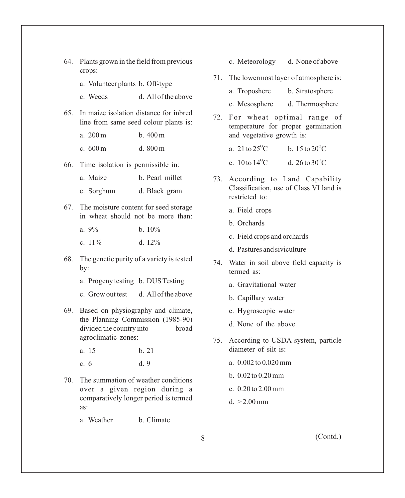- 64. Plants grown in the field from previous crops:
	- a. Volunteer plants b. Off-type
	- c. Weeds d. All of the above
- 65. In maize isolation distance for inbred line from same seed colour plants is:
	- a. 200 m b. 400 m
	- c. 600 m d. 800 m
- 66. Time isolation is permissible in:
	- a. Maize b. Pearl millet
	- c. Sorghum d. Black gram
- 67. The moisture content for seed storage in wheat should not be more than:
	- a.  $9\%$  b.  $10\%$
	- c.  $11\%$  d.  $12\%$
- 68. The genetic purity of a variety is tested by:
	- a. Progeny testing b. DUS Testing
	- c. Grow out test d. All of the above
- 69. Based on physiography and climate, the Planning Commission (1985-90) divided the country into broad agroclimatic zones:
	- a. 15 b. 21
	- c. 6 d. 9
- 70. The summation of weather conditions over a given region during a comparatively longer period is termed as:

a. Weather b. Climate

- c. Meteorology d. None of above
- 71. The lowermost layer of atmosphere is:
	- a. Troposhere b. Stratosphere
	- c. Mesosphere d. Thermosphere
- 72. For wheat optimal range of temperature for proper germination and vegetative growth is:
	- b  $15 \text{ to } 20^{\circ}$ C a. 21 to  $25^{\circ}$ C.
	- d.  $26 \text{ to } 30^{\circ}\text{C}$ c. 10 to  $14^{\circ}$ C.
- 73. According to Land Capability Classification, use of Class VI land is restricted to:
	- a. Field crops
	- b. Orchards
	- c. Field crops and orchards
	- d. Pastures and siviculture
- 74. Water in soil above field capacity is termed as:
	- a. Gravitational water
	- b. Capillary water
	- c. Hygroscopic water
	- d. None of the above
- 75. According to USDA system, particle diameter of silt is:
	- a. 0.002 to 0.020 mm
	- b. 0.02 to 0.20 mm
	- c. 0.20 to 2.00 mm
	- $d. > 2.00$  mm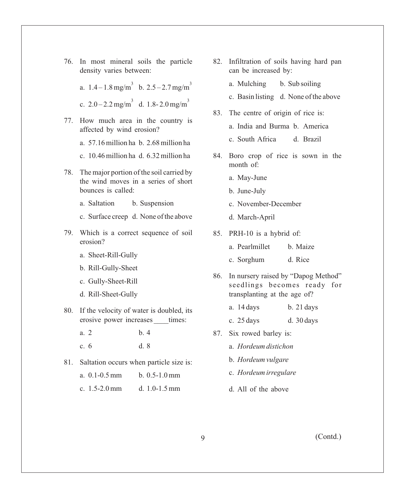76. In most mineral soils the particle density varies between:

> a.  $1.4 - 1.8$  mg/m<sup>3</sup> b.  $2.5 - 2.7$  mg/m<sup>3</sup> c.  $2.0 - 2.2$  mg/m<sup>3</sup> d. 1.8-2.0 mg/m<sup>3</sup>

- 77. How much area in the country is affected by wind erosion?
	- a. 57.16 million ha b. 2.68 million ha
	- c. 10.46 million ha d. 6.32 million ha
- 78. The major portion of the soil carried by the wind moves in a series of short bounces is called:
	- a. Saltation b. Suspension
	- c. Surface creep d. None of the above
- 79. Which is a correct sequence of soil erosion?
	- a. Sheet-Rill-Gully
	- b. Rill-Gully-Sheet
	- c. Gully-Sheet-Rill
	- d. Rill-Sheet-Gully
- 80. If the velocity of water is doubled, its erosive power increases times:
	- a. 2 b. 4 c. 6 d. 8
- 81. Saltation occurs when particle size is:

| a. $0.1 - 0.5$ mm | $b. 0.5-1.0$ mm   |
|-------------------|-------------------|
| c. $1.5-2.0$ mm   | d. $1.0 - 1.5$ mm |

- 82. Infiltration of soils having hard pan can be increased by:
	- a. Mulching b. Sub soiling
	- c. Basin listing d. None of the above
- 83. The centre of origin of rice is:
	- a. India and Burma b. America
	- c. South Africa d. Brazil
- 84. Boro crop of rice is sown in the month of:
	- a. May-June
	- b. June-July
	- c. November-December
	- d. March-April
- 85. PRH-10 is a hybrid of:
	- a. Pearlmillet b. Maize
	- c. Sorghum d. Rice
- 86. In nursery raised by "Dapog Method" seedlings becomes ready for transplanting at the age of?
	- a. 14 days b. 21 days
	- c. 25 days d. 30 days
- 87. Six rowed barley is:
	- a. *Hordeum distichon*
	- b. *Hordeum vulgare*
	- c. *Hordeum irregulare*
	- d. All of the above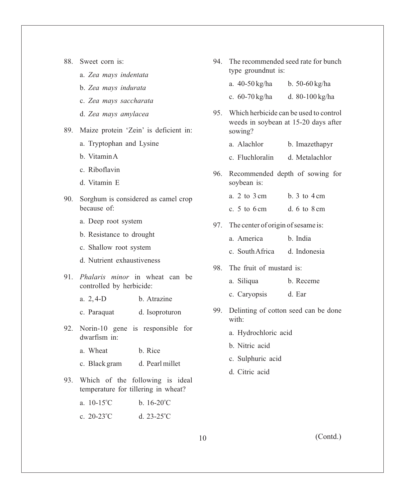| 88. | Sweet corn is: |  |  |
|-----|----------------|--|--|
|     |                |  |  |

- a. *Zea mays indentata*
- b. *Zea mays indurata*
- c. *Zea mays saccharata*
- d. *Zea mays amylacea*
- 89. Maize protein 'Zein' is deficient in:
	- a. Tryptophan and Lysine
	- b. Vitamin A
	- c. Riboflavin
	- d. Vitamin E
- 90. Sorghum is considered as camel crop because of:
	- a. Deep root system
	- b. Resistance to drought
	- c. Shallow root system
	- d. Nutrient exhaustiveness
- 91. *Phalaris minor* in wheat can be controlled by herbicide:
	- a. 2, 4-D b. Atrazine
	- c. Paraquat d. Isoproturon
- 92. Norin-10 gene is responsible for dwarfism in:
	- a. Wheat b. Rice
	- c. Black gram d. Pearl millet
- 93. Which of the following is ideal temperature for tillering in wheat?

a.  $10-15^{\circ}$ C b.  $16-20^{\circ}$ C d.  $23-25^{\circ}$ C c.  $20-23$ °C

94. The recommended seed rate for bunch type groundnut is:

|    | a. 40-50 kg/ha b. 50-60 kg/ha          |                                                                                    |
|----|----------------------------------------|------------------------------------------------------------------------------------|
|    | c. 60-70 kg/ha d. 80-100 kg/ha         |                                                                                    |
|    | sowing?                                | 95. Which herbicide can be used to control<br>weeds in soybean at 15-20 days after |
|    | a. Alachlor                            | b. Imazethapyr                                                                     |
|    | c. Fluchloralin d. Metalachlor         |                                                                                    |
|    | soybean is:                            | 96. Recommended depth of sowing for                                                |
|    | a. $2$ to $3 \text{ cm}$               | b. $3 \text{ to } 4 \text{ cm}$                                                    |
|    | c. $5$ to $6 \text{ cm}$               | d. $6 \text{ to } 8 \text{ cm}$                                                    |
|    | 97. The center of origin of sesame is: |                                                                                    |
|    | a. America                             | b. India                                                                           |
|    | c. South Africa d. Indonesia           |                                                                                    |
|    | 98. The fruit of mustard is:           |                                                                                    |
|    | a. Siliqua                             | b. Receme                                                                          |
|    | c. Caryopsis                           | d. Ear                                                                             |
| ററ |                                        | Delinting of cotton seed can be done                                               |

- 99. Delinting of cotton seed can be done with:
	- a. Hydrochloric acid
	- b. Nitric acid
	- c. Sulphuric acid
	- d. Citric acid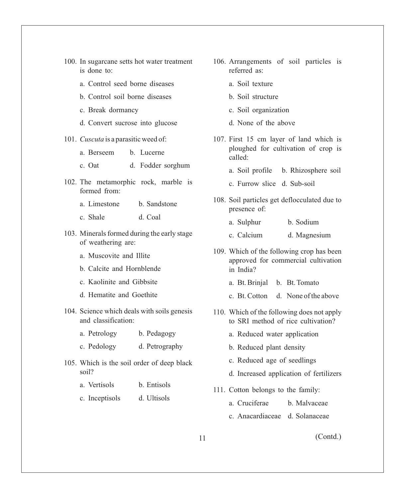|  |             |  |  | 100. In sugarcane setts hot water treatment |  |
|--|-------------|--|--|---------------------------------------------|--|
|  | is done to: |  |  |                                             |  |

- a. Control seed borne diseases
- b. Control soil borne diseases
- c. Break dormancy
- d. Convert sucrose into glucose
- 101. *Cuscuta* is a parasitic weed of:
	- a. Berseem b. Lucerne
	- c. Oat d. Fodder sorghum
- 102. The metamorphic rock, marble is formed from:
	- a. Limestone b. Sandstone
	- c. Shale d. Coal
- 103. Minerals formed during the early stage of weathering are:
	- a. Muscovite and Illite
	- b. Calcite and Hornblende
	- c. Kaolinite and Gibbsite
	- d. Hematite and Goethite
- 104. Science which deals with soils genesis and classification:
	- a. Petrology b. Pedagogy
	- c. Pedology d. Petrography
- 105. Which is the soil order of deep black soil?
	- a. Vertisols b. Entisols
	- c. Inceptisols d. Ultisols
- 106. Arrangements of soil particles is referred as:
	- a. Soil texture
	- b. Soil structure
	- c. Soil organization
	- d. None of the above
- 107. First 15 cm layer of land which is ploughed for cultivation of crop is called:
	- a. Soil profile b. Rhizosphere soil
	- c. Furrow slice d. Sub-soil
- 108. Soil particles get deflocculated due to presence of:
	- a. Sulphur b. Sodium
	- c. Calcium d. Magnesium
- 109. Which of the following crop has been approved for commercial cultivation in India?
	- a. Bt. Brinjal b. Bt. Tomato
	- c. Bt. Cotton d. None of the above
- 110. Which of the following does not apply to SRI method of rice cultivation?
	- a. Reduced water application
	- b. Reduced plant density
	- c. Reduced age of seedlings
	- d. Increased application of fertilizers
- 111. Cotton belongs to the family:
	- a. Cruciferae b. Malvaceae
	- c. Anacardiaceae d. Solanaceae
- 11 (Contd.)
-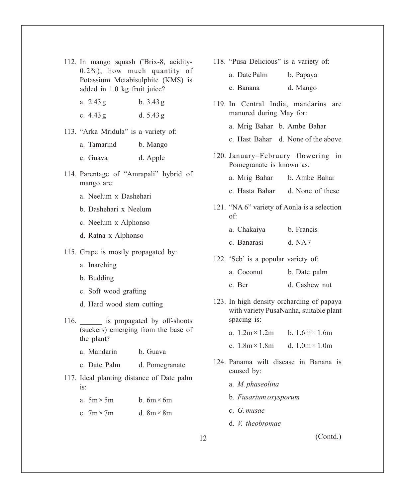- 112. In mango squash ('Brix-8, acidity-0.2%), how much quantity of Potassium Metabisulphite (KMS) is added in 1.0 kg fruit juice?
	- a. 2.43 g b. 3.43 g
	- c. 4.43 g d. 5.43 g
- 113. "Arka Mridula" is a variety of:

| b. Mango |
|----------|
|          |

- c. Guava d. Apple
- 114. Parentage of "Amrapali" hybrid of mango are:
	- a. Neelum x Dashehari
	- b. Dashehari x Neelum
	- c. Neelum x Alphonso
	- d. Ratna x Alphonso
- 115. Grape is mostly propagated by:
	- a. Inarching
	- b. Budding
	- c. Soft wood grafting
	- d. Hard wood stem cutting
- 116. **a** is propagated by off-shoots (suckers) emerging from the base of the plant?
	- a. Mandarin b. Guava
	- c. Date Palm d. Pomegranate
- 117. Ideal planting distance of Date palm is:

| a. $5m \times 5m$ | b. $6m \times 6m$ |
|-------------------|-------------------|
| c. $7m \times 7m$ | d. $8m \times 8m$ |

118. "Pusa Delicious" is a variety of:

| a. Date Palm | b. Papaya |
|--------------|-----------|
| c. Banana    | d. Mango  |

- 119. In Central India, mandarins are manured during May for:
	- a. Mrig Bahar b. Ambe Bahar
	- c. Hast Bahar d. None of the above
- 120. January–February flowering in Pomegranate is known as:
	- a. Mrig Bahar b. Ambe Bahar
	- c. Hasta Bahar d. None of these
- 121. "NA 6" variety of Aonla is a selection of:

| a. Chakaiya |  | b. Francis |
|-------------|--|------------|
|             |  |            |

- c. Banarasi d. NA7
- 122. 'Seb' is a popular variety of:
	- a. Coconut b. Date palm
	- c. Ber d. Cashew nut
- 123. In high density orcharding of papaya with variety PusaNanha, suitable plant spacing is:
	- a.  $1.2 \text{m} \times 1.2 \text{m}$  b.  $1.6 \text{m} \times 1.6 \text{m}$
	- c.  $1.8m \times 1.8m$  d.  $1.0m \times 1.0m$
- 124. Panama wilt disease in Banana is caused by:
	- a. *M. phaseolina*
	- b. *Fusarium oxysporum*
	- c. *G. musae*
	- d. *V. theobromae*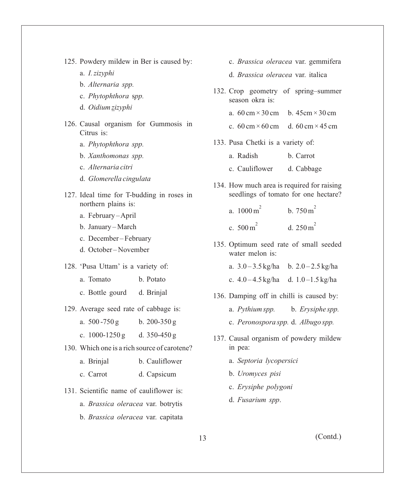125. Powdery mildew in Ber is caused by:

a. *I. zizyphi*

- b. *Alternaria spp.*
- c. *Phytophthora* s*pp.*
- d. *Oidium zizyphi*
- 126. Causal organism for Gummosis in Citrus is:
	- a. *Phytophthora spp.*
	- b. *Xanthomonas spp.*
	- c. *Alternaria citri*
	- d. *Glomerella cingulata*
- 127. Ideal time for T-budding in roses in northern plains is:
	- a. February April
	- b. January March
	- c. December February
	- d. October November
- 128. 'Pusa Uttam' is a variety of:
	- a. Tomato b. Potato
	- c. Bottle gourd d. Brinjal
- 129. Average seed rate of cabbage is:
	- a.  $500 750 g$  b.  $200 350 g$
	- c.  $1000 1250 g$  d.  $350 450 g$
- 130. Which one is a rich source of carotene?
	- a. Brinjal b. Cauliflower
	- c. Carrot d. Capsicum
- 131. Scientific name of cauliflower is:
	- a. *Brassica oleracea* var. botrytis
	- b. *Brassica oleracea* var. capitata
- c. *Brassica oleracea* var. gemmifera
- d. *Brassica oleracea* var. italica
- 132. Crop geometry of spring–summer season okra is:
	- a.  $60 \text{ cm} \times 30 \text{ cm}$  b.  $45 \text{ cm} \times 30 \text{ cm}$
	- c.  $60 \text{ cm} \times 60 \text{ cm}$  d.  $60 \text{ cm} \times 45 \text{ cm}$
- 133. Pusa Chetki is a variety of:
	- a. Radish b. Carrot
	- c. Cauliflower d. Cabbage
- 134. How much area is required for raising seedlings of tomato for one hectare?
	- $h$  750 m<sup>2</sup> a.  $1000 \,\mathrm{m}^2$ .
	- d.  $250 \text{ m}^2$ c.  $500 \text{ m}^2$
- 135. Optimum seed rate of small seeded water melon is:
	- a.  $3.0 3.5$  kg/ha b.  $2.0 2.5$  kg/ha
	- c.  $4.0 4.5$  kg/ha d.  $1.0 1.5$  kg/ha
- 136. Damping off in chilli is caused by:
	- a. *Pythium spp.* b. *Erysiphe spp.*
	- c. *Peronospora spp.* d. *Albugo spp.*
- 137. Causal organism of powdery mildew in pea:
	- a. *Septoria lycopersici*
	- b. *Uromyces pisi*
	- c. *Erysiphe polygoni*
	- d. *Fusarium spp*.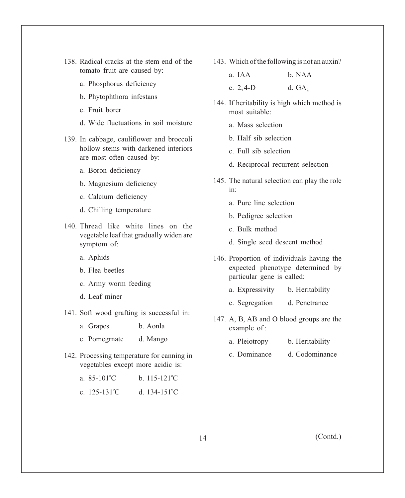- 138. Radical cracks at the stem end of the tomato fruit are caused by:
	- a. Phosphorus deficiency
	- b. Phytophthora infestans
	- c. Fruit borer
	- d. Wide fluctuations in soil moisture
- 139. In cabbage, cauliflower and broccoli hollow stems with darkened interiors are most often caused by:
	- a. Boron deficiency
	- b. Magnesium deficiency
	- c. Calcium deficiency
	- d. Chilling temperature
- 140. Thread like white lines on the vegetable leaf that gradually widen are symptom of:
	- a. Aphids
	- b. Flea beetles
	- c. Army worm feeding
	- d. Leaf miner
- 141. Soft wood grafting is successful in:
	- a. Grapes b. Aonla
	- c. Pomegrnate d. Mango
- 142. Processing temperature for canning in vegetables except more acidic is:

| a. $85 - 101^{\circ}C$   | b. $115 - 121^{\circ}C$ |
|--------------------------|-------------------------|
| c. $125 - 131^{\circ}$ C | d. $134-151^{\circ}$ C  |

143. Which of the following is not an auxin?

| a. IAA      | b. NAA   |
|-------------|----------|
| c. $2, 4-D$ | d. $GA3$ |

- 144. If heritability is high which method is most suitable:
	- a. Mass selection
	- b. Half sib selection
	- c. Full sib selection
	- d. Reciprocal recurrent selection
- 145. The natural selection can play the role in:
	- a. Pure line selection
	- b. Pedigree selection
	- c. Bulk method
	- d. Single seed descent method
- 146. Proportion of individuals having the expected phenotype determined by particular gene is called:
	- a. Expressivity b. Heritability
	- c. Segregation d. Penetrance
- 147. A, B, AB and O blood groups are the example of:
	- a. Pleiotropy b. Heritability
	- c. Dominance d. Codominance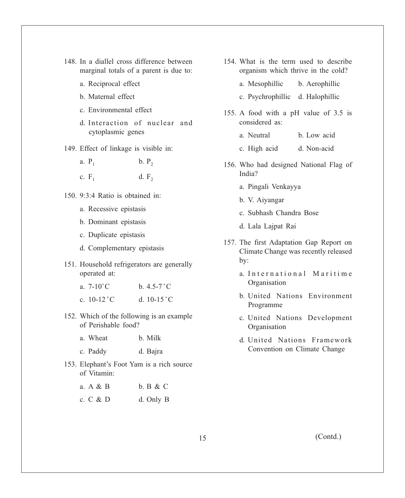- 148. In a diallel cross difference between marginal totals of a parent is due to:
	- a. Reciprocal effect
	- b. Maternal effect
	- c. Environmental effect
	- d. Interaction of nuclear and cytoplasmic genes
- 149. Effect of linkage is visible in:
	- a.  $P_1$  $b. P<sub>2</sub>$
	- c.  $F_1$ d.  $F<sub>2</sub>$
- 150. 9:3:4 Ratio is obtained in:
	- a. Recessive epistasis
	- b. Dominant epistasis
	- c. Duplicate epistasis
	- d. Complementary epistasis
- 151. Household refrigerators are generally operated at:
	- a.  $7-10^{\circ}$  C b.  $4.5-7^{\circ}$  C
	- c.  $10-12$  °C d.  $10-15$  °C
- 152. Which of the following is an example of Perishable food?
	- a. Wheat b. Milk
	- c. Paddy d. Bajra
- 153. Elephant's Foot Yam is a rich source of Vitamin:
	- a. A & B b. B & C c. C & D d. Only B
- 154. What is the term used to describe organism which thrive in the cold?
	- a. Mesophillic b. Aerophillic
	- c. Psychrophillic d. Halophillic
- 155. A food with a pH value of 3.5 is considered as:
	- a. Neutral b. Low acid
	- c. High acid d. Non-acid
- 156. Who had designed National Flag of India?
	- a. Pingali Venkayya
	- b. V. Aiyangar
	- c. Subhash Chandra Bose
	- d. Lala Lajpat Rai
- 157. The first Adaptation Gap Report on Climate Change was recently released by:
	- a. International Maritime Organisation
	- b. United Nations Environment Programme
	- c. United Nations Development **Organisation**
	- d. United Nations Framework Convention on Climate Change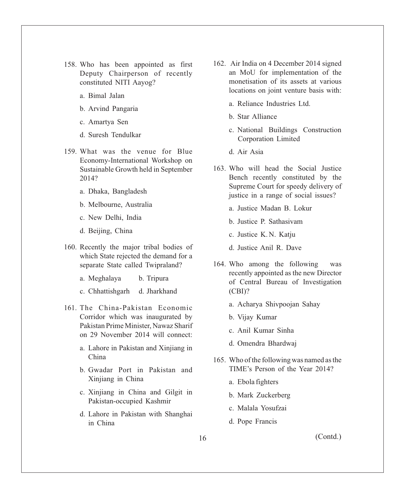- 158. Who has been appointed as first Deputy Chairperson of recently constituted NITI Aayog?
	- a. Bimal Jalan
	- b. Arvind Pangaria
	- c. Amartya Sen
	- d. Suresh Tendulkar
- 159. What was the venue for Blue Economy-International Workshop on Sustainable Growth held in September 2014?
	- a. Dhaka, Bangladesh
	- b. Melbourne, Australia
	- c. New Delhi, India
	- d. Beijing, China
- 160. Recently the major tribal bodies of which State rejected the demand for a separate State called Twipraland?
	- a. Meghalaya b. Tripura
	- c. Chhattishgarh d. Jharkhand
- 161. The China-Pakistan Economic Corridor which was inaugurated by Pakistan Prime Minister, Nawaz Sharif on 29 November 2014 will connect:
	- a. Lahore in Pakistan and Xinjiang in China
	- b. Gwadar Port in Pakistan and Xinjiang in China
	- c. Xinjiang in China and Gilgit in Pakistan-occupied Kashmir
	- d. Lahore in Pakistan with Shanghai in China
- 162. Air India on 4 December 2014 signed an MoU for implementation of the monetisation of its assets at various locations on joint venture basis with:
	- a. Reliance Industries Ltd.
	- b. Star Alliance
	- c. National Buildings Construction Corporation Limited
	- d. Air Asia
- 163. Who will head the Social Justice Bench recently constituted by the Supreme Court for speedy delivery of justice in a range of social issues?
	- a. Justice Madan B. Lokur
	- b. Justice P. Sathasivam
	- c. Justice K. N. Katju
	- d. Justice Anil R. Dave
- 164. Who among the following was recently appointed as the new Director of Central Bureau of Investigation (CBI)?
	- a. Acharya Shivpoojan Sahay
	- b. Vijay Kumar
	- c. Anil Kumar Sinha
	- d. Omendra Bhardwaj
- 165. Who of the following was named as the TIME's Person of the Year 2014?
	- a. Ebola fighters
	- b. Mark Zuckerberg
	- c. Malala Yosufzai
	- d. Pope Francis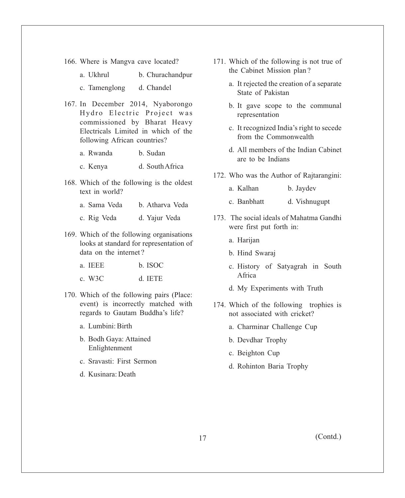- 166. Where is Mangva cave located?
	- a. Ukhrul b. Churachandpur c. Tamenglong d. Chandel
- 167. In December 2014, Nyaborongo Hydro Electric Project was commissioned by Bharat Heavy Electricals Limited in which of the following African countries?
	- a. Rwanda b. Sudan
	- c. Kenya d. South Africa
- 168. Which of the following is the oldest text in world?
	- a. Sama Veda b. Atharva Veda
	- c. Rig Veda d. Yajur Veda
- 169. Which of the following organisations looks at standard for representation of data on the internet?
	- a. IEEE b. ISOC
	- c. W3C d. IETE
- 170. Which of the following pairs (Place: event) is incorrectly matched with regards to Gautam Buddha's life?
	- a. Lumbini: Birth
	- b. Bodh Gaya: Attained Enlightenment
	- c. Sravasti: First Sermon
	- d. Kusinara: Death
- 171. Which of the following is not true of the Cabinet Mission plan ?
	- a. It rejected the creation of a separate State of Pakistan
	- b. It gave scope to the communal representation
	- c. It recognized India's right to secede from the Commonwealth
	- d. All members of the Indian Cabinet are to be Indians
- 172. Who was the Author of Rajtarangini:
	- a. Kalhan b. Jaydev
	- c. Banbhatt d. Vishnugupt
- 173. The social ideals of Mahatma Gandhi were first put forth in:
	- a. Harijan
	- b. Hind Swaraj
	- c. History of Satyagrah in South Africa
	- d. My Experiments with Truth
- 174. Which of the following trophies is not associated with cricket?
	- a. Charminar Challenge Cup
	- b. Devdhar Trophy
	- c. Beighton Cup
	- d. Rohinton Baria Trophy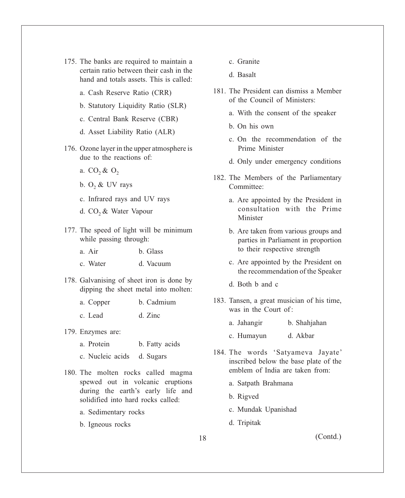- 175. The banks are required to maintain a certain ratio between their cash in the hand and totals assets. This is called:
	- a. Cash Reserve Ratio (CRR)
	- b. Statutory Liquidity Ratio (SLR)
	- c. Central Bank Reserve (CBR)
	- d. Asset Liability Ratio (ALR)
- 176. Ozone layer in the upper atmosphere is due to the reactions of:
	- a.  $CO_2$  &  $O_2$
	- b.  $O_2$  & UV rays
	- c. Infrared rays and UV rays
	- d. CO<sub>2</sub> & Water Vapour
- 177. The speed of light will be minimum while passing through:
	- a. Air b. Glass
	- c. Water d. Vacuum
- 178. Galvanising of sheet iron is done by dipping the sheet metal into molten:
	- a. Copper b. Cadmium c. Lead d. Zinc
- 179. Enzymes are:
	- a. Protein b. Fatty acids
	- c. Nucleic acids d. Sugars
- 180. The molten rocks called magma spewed out in volcanic eruptions during the earth's early life and solidified into hard rocks called:
	- a. Sedimentary rocks
	- b. Igneous rocks
- c. Granite
- d. Basalt
- 181. The President can dismiss a Member of the Council of Ministers:
	- a. With the consent of the speaker
	- b. On his own
	- c. On the recommendation of the Prime Minister
	- d. Only under emergency conditions
- 182. The Members of the Parliamentary Committee:
	- a. Are appointed by the President in consultation with the Prime Minister
	- b. Are taken from various groups and parties in Parliament in proportion to their respective strength
	- c. Are appointed by the President on the recommendation of the Speaker
	- d. Both b and c
- 183. Tansen, a great musician of his time, was in the Court of :
	- a. Jahangir b. Shahjahan
	- c. Humayun d. Akbar
- 184. The words 'Satyameva Jayate' inscribed below the base plate of the emblem of India are taken from:
	- a. Satpath Brahmana
	- b. Rigved
	- c. Mundak Upanishad
	- d. Tripitak

18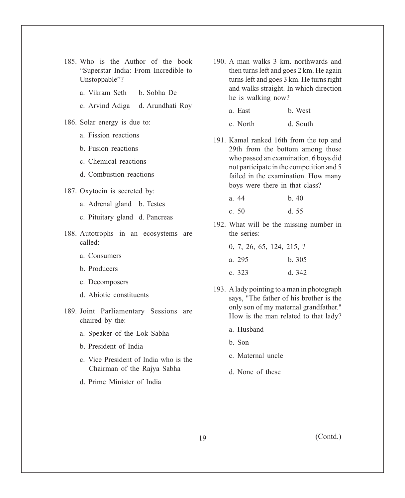- 185. Who is the Author of the book "Superstar India: From Incredible to Unstoppable"?
	- a. Vikram Seth b. Sobha De
	- c. Arvind Adiga d. Arundhati Roy
- 186. Solar energy is due to:
	- a. Fission reactions
	- b. Fusion reactions
	- c. Chemical reactions
	- d. Combustion reactions
- 187. Oxytocin is secreted by:
	- a. Adrenal gland b. Testes
	- c. Pituitary gland d. Pancreas
- 188. Autotrophs in an ecosystems are called:
	- a. Consumers
	- b. Producers
	- c. Decomposers
	- d. Abiotic constituents
- 189. Joint Parliamentary Sessions are chaired by the:
	- a. Speaker of the Lok Sabha
	- b. President of India
	- c. Vice President of India who is the Chairman of the Rajya Sabha
	- d. Prime Minister of India
- 190. A man walks 3 km. northwards and then turns left and goes 2 km. He again turns left and goes 3 km. He turns right and walks straight. In which direction he is walking now?
	- a. East b. West
	- c. North d. South
- 191. Kamal ranked 16th from the top and 29th from the bottom among those who passed an examination. 6 boys did not participate in the competition and 5 failed in the examination. How many boys were there in that class?
	- a. 44 b. 40 c. 50 d. 55
- 192. What will be the missing number in
	- 0, 7, 26, 65, 124, 215, ? a. 295 b. 305 c. 323 d. 342
- 193. Alady pointing to a man in photograph says, "The father of his brother is the only son of my maternal grandfather." How is the man related to that lady?
	- a. Husband

the series:

- b. Son
- c. Maternal uncle
- d. None of these